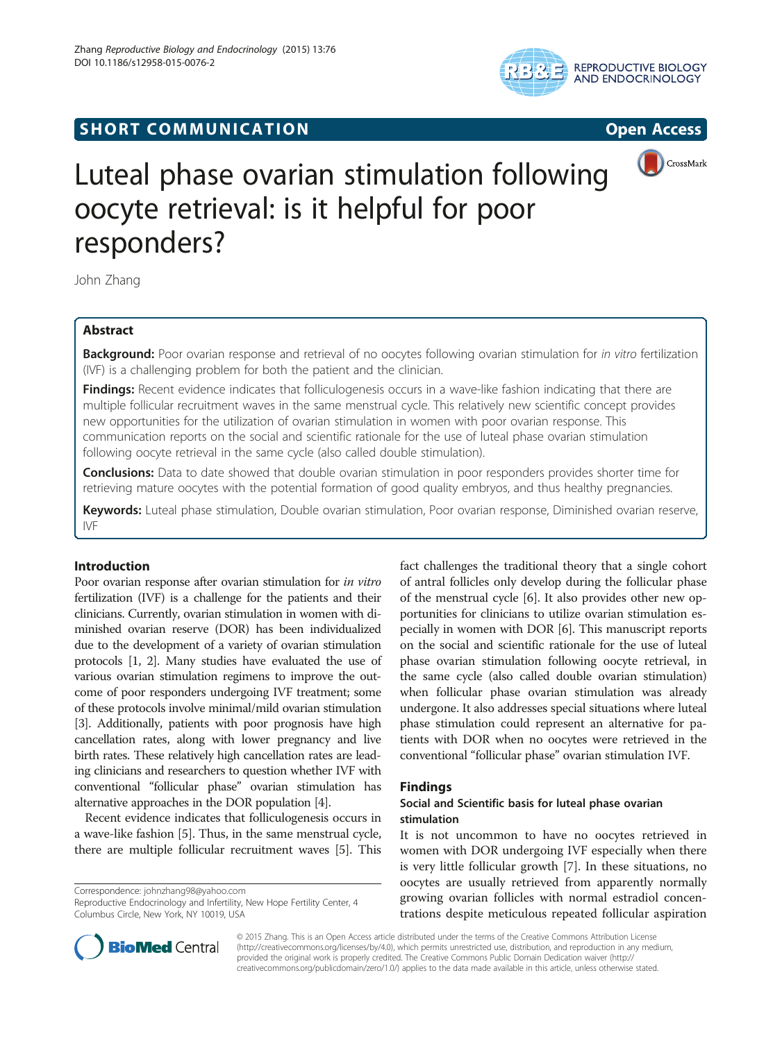

# **SHORT COMMUNICATION COMMUNICATION**





# Luteal phase ovarian stimulation following oocyte retrieval: is it helpful for poor responders?

John Zhang

# Abstract

Background: Poor ovarian response and retrieval of no oocytes following ovarian stimulation for in vitro fertilization (IVF) is a challenging problem for both the patient and the clinician.

Findings: Recent evidence indicates that folliculogenesis occurs in a wave-like fashion indicating that there are multiple follicular recruitment waves in the same menstrual cycle. This relatively new scientific concept provides new opportunities for the utilization of ovarian stimulation in women with poor ovarian response. This communication reports on the social and scientific rationale for the use of luteal phase ovarian stimulation following oocyte retrieval in the same cycle (also called double stimulation).

Conclusions: Data to date showed that double ovarian stimulation in poor responders provides shorter time for retrieving mature oocytes with the potential formation of good quality embryos, and thus healthy pregnancies.

Keywords: Luteal phase stimulation, Double ovarian stimulation, Poor ovarian response, Diminished ovarian reserve, IVF

## Introduction

Poor ovarian response after ovarian stimulation for in vitro fertilization (IVF) is a challenge for the patients and their clinicians. Currently, ovarian stimulation in women with diminished ovarian reserve (DOR) has been individualized due to the development of a variety of ovarian stimulation protocols [[1](#page-2-0), [2\]](#page-2-0). Many studies have evaluated the use of various ovarian stimulation regimens to improve the outcome of poor responders undergoing IVF treatment; some of these protocols involve minimal/mild ovarian stimulation [[3](#page-2-0)]. Additionally, patients with poor prognosis have high cancellation rates, along with lower pregnancy and live birth rates. These relatively high cancellation rates are leading clinicians and researchers to question whether IVF with conventional "follicular phase" ovarian stimulation has alternative approaches in the DOR population [\[4](#page-2-0)].

Recent evidence indicates that folliculogenesis occurs in a wave-like fashion [[5](#page-2-0)]. Thus, in the same menstrual cycle, there are multiple follicular recruitment waves [\[5](#page-2-0)]. This

Correspondence: [johnzhang98@yahoo.com](mailto:johnzhang98@yahoo.com)

Reproductive Endocrinology and Infertility, New Hope Fertility Center, 4 Columbus Circle, New York, NY 10019, USA

fact challenges the traditional theory that a single cohort of antral follicles only develop during the follicular phase of the menstrual cycle [\[6](#page-2-0)]. It also provides other new opportunities for clinicians to utilize ovarian stimulation especially in women with DOR [\[6\]](#page-2-0). This manuscript reports on the social and scientific rationale for the use of luteal phase ovarian stimulation following oocyte retrieval, in the same cycle (also called double ovarian stimulation) when follicular phase ovarian stimulation was already undergone. It also addresses special situations where luteal phase stimulation could represent an alternative for patients with DOR when no oocytes were retrieved in the conventional "follicular phase" ovarian stimulation IVF.

### Findings

### Social and Scientific basis for luteal phase ovarian stimulation

It is not uncommon to have no oocytes retrieved in women with DOR undergoing IVF especially when there is very little follicular growth [\[7](#page-2-0)]. In these situations, no oocytes are usually retrieved from apparently normally growing ovarian follicles with normal estradiol concentrations despite meticulous repeated follicular aspiration



© 2015 Zhang. This is an Open Access article distributed under the terms of the Creative Commons Attribution License [\(http://creativecommons.org/licenses/by/4.0\)](http://creativecommons.org/licenses/by/4.0), which permits unrestricted use, distribution, and reproduction in any medium, provided the original work is properly credited. The Creative Commons Public Domain Dedication waiver [\(http://](http://creativecommons.org/publicdomain/zero/1.0/) [creativecommons.org/publicdomain/zero/1.0/\)](http://creativecommons.org/publicdomain/zero/1.0/) applies to the data made available in this article, unless otherwise stated.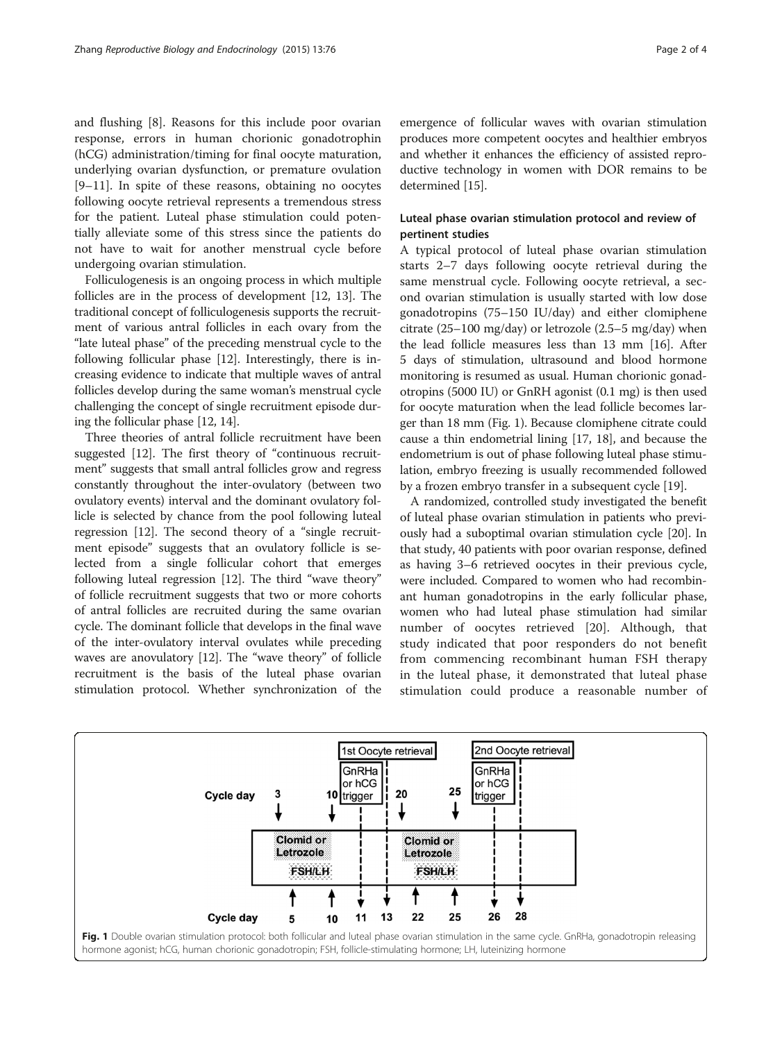and flushing [[8\]](#page-3-0). Reasons for this include poor ovarian response, errors in human chorionic gonadotrophin (hCG) administration/timing for final oocyte maturation, underlying ovarian dysfunction, or premature ovulation [[9](#page-3-0)–[11\]](#page-3-0). In spite of these reasons, obtaining no oocytes following oocyte retrieval represents a tremendous stress for the patient. Luteal phase stimulation could potentially alleviate some of this stress since the patients do not have to wait for another menstrual cycle before undergoing ovarian stimulation.

Folliculogenesis is an ongoing process in which multiple follicles are in the process of development [\[12, 13](#page-3-0)]. The traditional concept of folliculogenesis supports the recruitment of various antral follicles in each ovary from the "late luteal phase" of the preceding menstrual cycle to the following follicular phase [\[12\]](#page-3-0). Interestingly, there is increasing evidence to indicate that multiple waves of antral follicles develop during the same woman's menstrual cycle challenging the concept of single recruitment episode during the follicular phase [\[12, 14](#page-3-0)].

Three theories of antral follicle recruitment have been suggested [\[12\]](#page-3-0). The first theory of "continuous recruitment" suggests that small antral follicles grow and regress constantly throughout the inter-ovulatory (between two ovulatory events) interval and the dominant ovulatory follicle is selected by chance from the pool following luteal regression [\[12\]](#page-3-0). The second theory of a "single recruitment episode" suggests that an ovulatory follicle is selected from a single follicular cohort that emerges following luteal regression [[12](#page-3-0)]. The third "wave theory" of follicle recruitment suggests that two or more cohorts of antral follicles are recruited during the same ovarian cycle. The dominant follicle that develops in the final wave of the inter-ovulatory interval ovulates while preceding waves are anovulatory [\[12\]](#page-3-0). The "wave theory" of follicle recruitment is the basis of the luteal phase ovarian stimulation protocol. Whether synchronization of the

emergence of follicular waves with ovarian stimulation produces more competent oocytes and healthier embryos and whether it enhances the efficiency of assisted reproductive technology in women with DOR remains to be determined [\[15\]](#page-3-0).

### Luteal phase ovarian stimulation protocol and review of pertinent studies

A typical protocol of luteal phase ovarian stimulation starts 2–7 days following oocyte retrieval during the same menstrual cycle. Following oocyte retrieval, a second ovarian stimulation is usually started with low dose gonadotropins (75–150 IU/day) and either clomiphene citrate (25–100 mg/day) or letrozole (2.5–5 mg/day) when the lead follicle measures less than 13 mm [\[16\]](#page-3-0). After 5 days of stimulation, ultrasound and blood hormone monitoring is resumed as usual. Human chorionic gonadotropins (5000 IU) or GnRH agonist (0.1 mg) is then used for oocyte maturation when the lead follicle becomes larger than 18 mm (Fig. 1). Because clomiphene citrate could cause a thin endometrial lining [[17, 18\]](#page-3-0), and because the endometrium is out of phase following luteal phase stimulation, embryo freezing is usually recommended followed by a frozen embryo transfer in a subsequent cycle [\[19](#page-3-0)].

A randomized, controlled study investigated the benefit of luteal phase ovarian stimulation in patients who previously had a suboptimal ovarian stimulation cycle [[20](#page-3-0)]. In that study, 40 patients with poor ovarian response, defined as having 3–6 retrieved oocytes in their previous cycle, were included. Compared to women who had recombinant human gonadotropins in the early follicular phase, women who had luteal phase stimulation had similar number of oocytes retrieved [\[20](#page-3-0)]. Although, that study indicated that poor responders do not benefit from commencing recombinant human FSH therapy in the luteal phase, it demonstrated that luteal phase stimulation could produce a reasonable number of

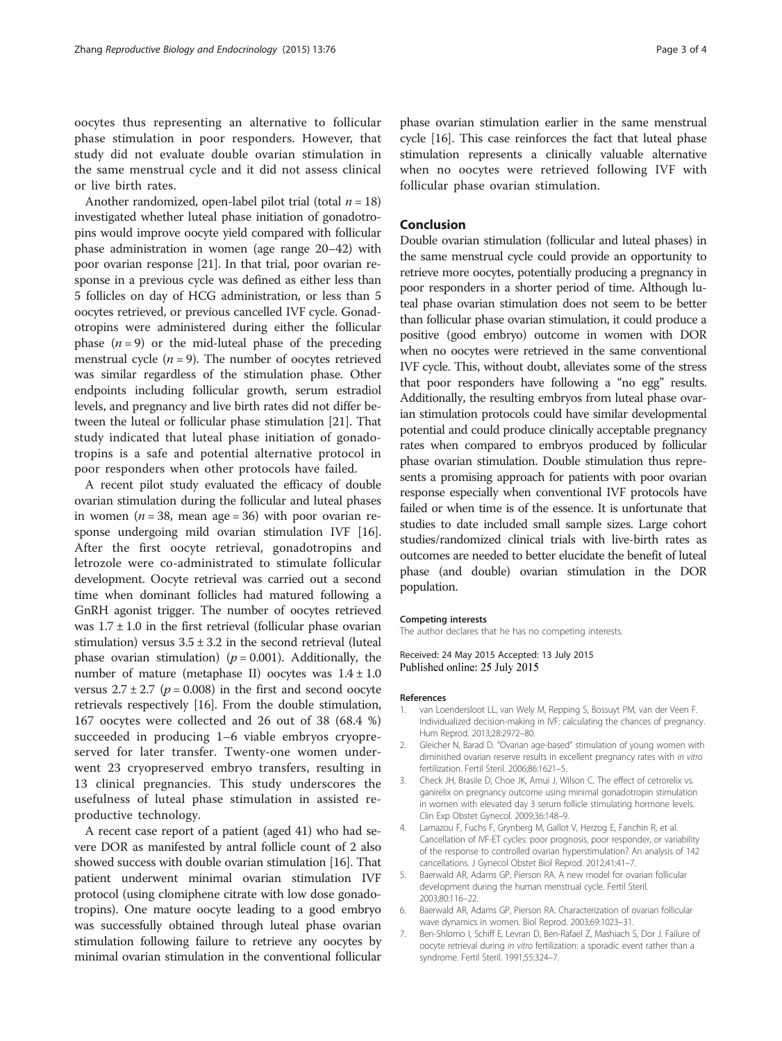<span id="page-2-0"></span>oocytes thus representing an alternative to follicular phase stimulation in poor responders. However, that study did not evaluate double ovarian stimulation in the same menstrual cycle and it did not assess clinical or live birth rates.

Another randomized, open-label pilot trial (total  $n = 18$ ) investigated whether luteal phase initiation of gonadotropins would improve oocyte yield compared with follicular phase administration in women (age range 20–42) with poor ovarian response [\[21\]](#page-3-0). In that trial, poor ovarian response in a previous cycle was defined as either less than 5 follicles on day of HCG administration, or less than 5 oocytes retrieved, or previous cancelled IVF cycle. Gonadotropins were administered during either the follicular phase  $(n = 9)$  or the mid-luteal phase of the preceding menstrual cycle  $(n = 9)$ . The number of oocytes retrieved was similar regardless of the stimulation phase. Other endpoints including follicular growth, serum estradiol levels, and pregnancy and live birth rates did not differ between the luteal or follicular phase stimulation [\[21](#page-3-0)]. That study indicated that luteal phase initiation of gonadotropins is a safe and potential alternative protocol in poor responders when other protocols have failed.

A recent pilot study evaluated the efficacy of double ovarian stimulation during the follicular and luteal phases in women ( $n = 38$ , mean age = 36) with poor ovarian response undergoing mild ovarian stimulation IVF [[16](#page-3-0)]. After the first oocyte retrieval, gonadotropins and letrozole were co-administrated to stimulate follicular development. Oocyte retrieval was carried out a second time when dominant follicles had matured following a GnRH agonist trigger. The number of oocytes retrieved was  $1.7 \pm 1.0$  in the first retrieval (follicular phase ovarian stimulation) versus  $3.5 \pm 3.2$  in the second retrieval (luteal phase ovarian stimulation) ( $p = 0.001$ ). Additionally, the number of mature (metaphase II) oocytes was  $1.4 \pm 1.0$ versus  $2.7 \pm 2.7$  ( $p = 0.008$ ) in the first and second oocyte retrievals respectively [[16](#page-3-0)]. From the double stimulation, 167 oocytes were collected and 26 out of 38 (68.4 %) succeeded in producing 1–6 viable embryos cryopreserved for later transfer. Twenty-one women underwent 23 cryopreserved embryo transfers, resulting in 13 clinical pregnancies. This study underscores the usefulness of luteal phase stimulation in assisted reproductive technology.

A recent case report of a patient (aged 41) who had severe DOR as manifested by antral follicle count of 2 also showed success with double ovarian stimulation [\[16\]](#page-3-0). That patient underwent minimal ovarian stimulation IVF protocol (using clomiphene citrate with low dose gonadotropins). One mature oocyte leading to a good embryo was successfully obtained through luteal phase ovarian stimulation following failure to retrieve any oocytes by minimal ovarian stimulation in the conventional follicular phase ovarian stimulation earlier in the same menstrual cycle [\[16](#page-3-0)]. This case reinforces the fact that luteal phase stimulation represents a clinically valuable alternative when no oocytes were retrieved following IVF with follicular phase ovarian stimulation.

#### Conclusion

Double ovarian stimulation (follicular and luteal phases) in the same menstrual cycle could provide an opportunity to retrieve more oocytes, potentially producing a pregnancy in poor responders in a shorter period of time. Although luteal phase ovarian stimulation does not seem to be better than follicular phase ovarian stimulation, it could produce a positive (good embryo) outcome in women with DOR when no oocytes were retrieved in the same conventional IVF cycle. This, without doubt, alleviates some of the stress that poor responders have following a "no egg" results. Additionally, the resulting embryos from luteal phase ovarian stimulation protocols could have similar developmental potential and could produce clinically acceptable pregnancy rates when compared to embryos produced by follicular phase ovarian stimulation. Double stimulation thus represents a promising approach for patients with poor ovarian response especially when conventional IVF protocols have failed or when time is of the essence. It is unfortunate that studies to date included small sample sizes. Large cohort studies/randomized clinical trials with live-birth rates as outcomes are needed to better elucidate the benefit of luteal phase (and double) ovarian stimulation in the DOR population.

#### Competing interests

The author declares that he has no competing interests.

Received: 24 May 2015 Accepted: 13 July 2015 Published online: 25 July 2015

#### References

- 1. van Loendersloot LL, van Wely M, Repping S, Bossuyt PM, van der Veen F. Individualized decision-making in IVF: calculating the chances of pregnancy. Hum Reprod. 2013;28:2972–80.
- 2. Gleicher N, Barad D. "Ovarian age-based" stimulation of young women with diminished ovarian reserve results in excellent pregnancy rates with in vitro fertilization. Fertil Steril. 2006;86:1621–5.
- 3. Check JH, Brasile D, Choe JK, Amui J, Wilson C. The effect of cetrorelix vs. ganirelix on pregnancy outcome using minimal gonadotropin stimulation in women with elevated day 3 serum follicle stimulating hormone levels. Clin Exp Obstet Gynecol. 2009;36:148–9.
- 4. Lamazou F, Fuchs F, Grynberg M, Gallot V, Herzog E, Fanchin R, et al. Cancellation of IVF-ET cycles: poor prognosis, poor responder, or variability of the response to controlled ovarian hyperstimulation? An analysis of 142 cancellations. J Gynecol Obstet Biol Reprod. 2012;41:41–7.
- 5. Baerwald AR, Adams GP, Pierson RA. A new model for ovarian follicular development during the human menstrual cycle. Fertil Steril. 2003;80:116–22.
- 6. Baerwald AR, Adams GP, Pierson RA. Characterization of ovarian follicular wave dynamics in women. Biol Reprod. 2003;69:1023–31.
- 7. Ben-Shlomo I, Schiff E, Levran D, Ben-Rafael Z, Mashiach S, Dor J. Failure of oocyte retrieval during in vitro fertilization: a sporadic event rather than a syndrome. Fertil Steril. 1991;55:324–7.